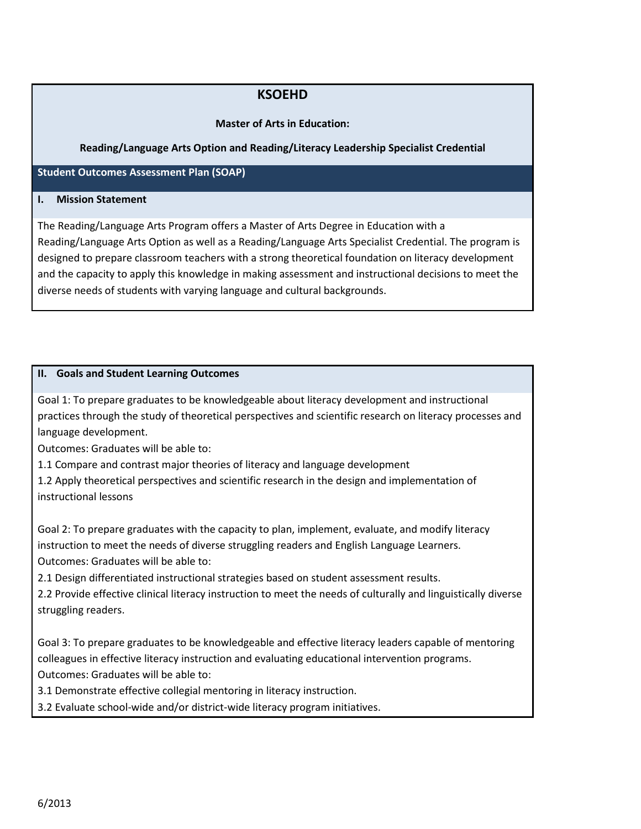# **KSOEHD**

## **Master of Arts in Education:**

## **Reading/Language Arts Option and Reading/Literacy Leadership Specialist Credential**

**Student Outcomes Assessment Plan (SOAP)**

#### **I. Mission Statement**

The Reading/Language Arts Program offers a Master of Arts Degree in Education with a Reading/Language Arts Option as well as a Reading/Language Arts Specialist Credential. The program is designed to prepare classroom teachers with a strong theoretical foundation on literacy development and the capacity to apply this knowledge in making assessment and instructional decisions to meet the diverse needs of students with varying language and cultural backgrounds.

#### **II. Goals and Student Learning Outcomes**

Goal 1: To prepare graduates to be knowledgeable about literacy development and instructional practices through the study of theoretical perspectives and scientific research on literacy processes and language development.

Outcomes: Graduates will be able to:

1.1 Compare and contrast major theories of literacy and language development

1.2 Apply theoretical perspectives and scientific research in the design and implementation of instructional lessons

Goal 2: To prepare graduates with the capacity to plan, implement, evaluate, and modify literacy instruction to meet the needs of diverse struggling readers and English Language Learners. Outcomes: Graduates will be able to:

2.1 Design differentiated instructional strategies based on student assessment results.

2.2 Provide effective clinical literacy instruction to meet the needs of culturally and linguistically diverse struggling readers.

Goal 3: To prepare graduates to be knowledgeable and effective literacy leaders capable of mentoring colleagues in effective literacy instruction and evaluating educational intervention programs. Outcomes: Graduates will be able to:

3.1 Demonstrate effective collegial mentoring in literacy instruction.

3.2 Evaluate school-wide and/or district-wide literacy program initiatives.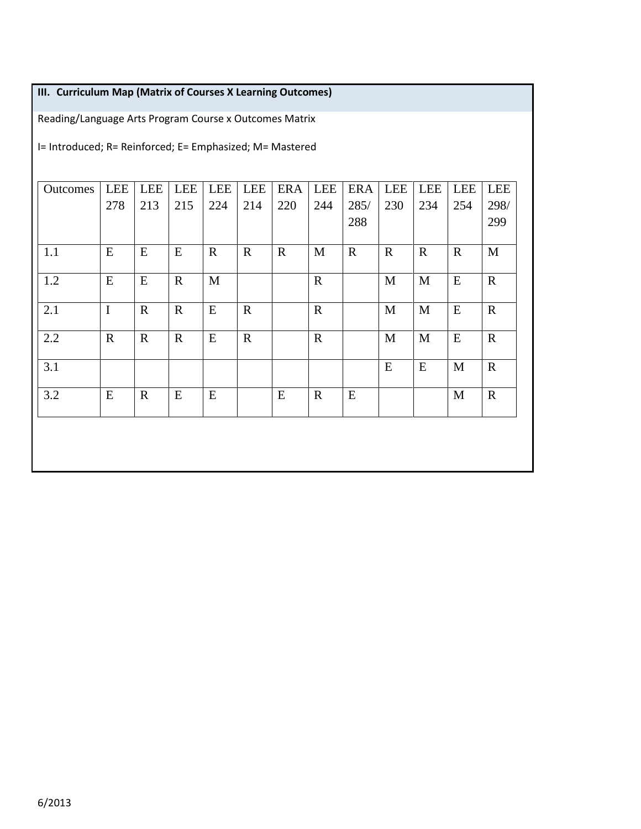# **III. Curriculum Map (Matrix of Courses X Learning Outcomes)**

Reading/Language Arts Program Course x Outcomes Matrix

I= Introduced; R= Reinforced; E= Emphasized; M= Mastered

| Outcomes | <b>LEE</b>  | <b>LEE</b>  | <b>LEE</b>  | <b>LEE</b>   | <b>LEE</b>  | <b>ERA</b>  | <b>LEE</b>  | <b>ERA</b>  | LEE         | <b>LEE</b>  | <b>LEE</b>  | <b>LEE</b>  |
|----------|-------------|-------------|-------------|--------------|-------------|-------------|-------------|-------------|-------------|-------------|-------------|-------------|
|          | 278         | 213         | 215         | 224          | 214         | 220         | 244         | 285/        | 230         | 234         | 254         | 298/        |
|          |             |             |             |              |             |             |             | 288         |             |             |             | 299         |
| 1.1      | ${\bf E}$   | ${\bf E}$   | E           | $\mathbf{R}$ | $\mathbf R$ | $\mathbf R$ | M           | $\mathbf R$ | $\mathbf R$ | $\mathbf R$ | $\mathbf R$ | M           |
| 1.2      | ${\bf E}$   | ${\bf E}$   | $\mathbf R$ | M            |             |             | $\mathbf R$ |             | M           | $\mathbf M$ | E           | $\mathbf R$ |
| 2.1      | $\mathbf I$ | $\mathbf R$ | $\mathbf R$ | E            | $\mathbf R$ |             | $\mathbf R$ |             | M           | M           | E           | $\mathbf R$ |
| 2.2      | $\mathbf R$ | $\mathbf R$ | $\mathbf R$ | E            | $\mathbf R$ |             | $\mathbf R$ |             | M           | M           | E           | $\mathbf R$ |
| 3.1      |             |             |             |              |             |             |             |             | ${\bf E}$   | E           | M           | $\mathbf R$ |
| 3.2      | E           | $\mathbf R$ | E           | E            |             | E           | $\mathbf R$ | E           |             |             | M           | $\mathbf R$ |
|          |             |             |             |              |             |             |             |             |             |             |             |             |
|          |             |             |             |              |             |             |             |             |             |             |             |             |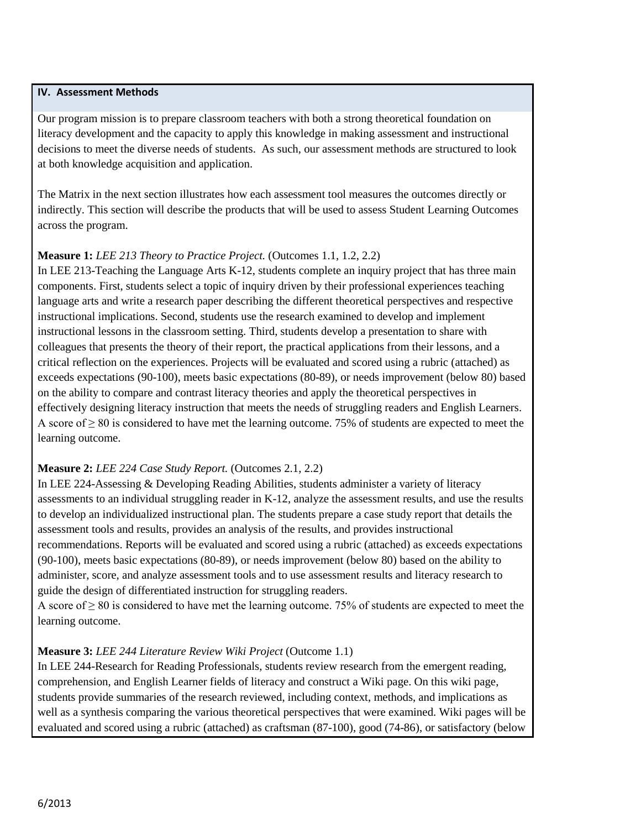## **IV. Assessment Methods**

Our program mission is to prepare classroom teachers with both a strong theoretical foundation on literacy development and the capacity to apply this knowledge in making assessment and instructional decisions to meet the diverse needs of students. As such, our assessment methods are structured to look at both knowledge acquisition and application.

The Matrix in the next section illustrates how each assessment tool measures the outcomes directly or indirectly. This section will describe the products that will be used to assess Student Learning Outcomes across the program.

## **Measure 1:** *LEE 213 Theory to Practice Project.* (Outcomes 1.1, 1.2, 2.2)

In LEE 213-Teaching the Language Arts K-12, students complete an inquiry project that has three main components. First, students select a topic of inquiry driven by their professional experiences teaching language arts and write a research paper describing the different theoretical perspectives and respective instructional implications. Second, students use the research examined to develop and implement instructional lessons in the classroom setting. Third, students develop a presentation to share with colleagues that presents the theory of their report, the practical applications from their lessons, and a critical reflection on the experiences. Projects will be evaluated and scored using a rubric (attached) as exceeds expectations (90-100), meets basic expectations (80-89), or needs improvement (below 80) based on the ability to compare and contrast literacy theories and apply the theoretical perspectives in effectively designing literacy instruction that meets the needs of struggling readers and English Learners. A score of  $\geq 80$  is considered to have met the learning outcome. 75% of students are expected to meet the learning outcome.

## **Measure 2:** *LEE 224 Case Study Report.* (Outcomes 2.1, 2.2)

In LEE 224-Assessing & Developing Reading Abilities, students administer a variety of literacy assessments to an individual struggling reader in K-12, analyze the assessment results, and use the results to develop an individualized instructional plan. The students prepare a case study report that details the assessment tools and results, provides an analysis of the results, and provides instructional recommendations. Reports will be evaluated and scored using a rubric (attached) as exceeds expectations (90-100), meets basic expectations (80-89), or needs improvement (below 80) based on the ability to administer, score, and analyze assessment tools and to use assessment results and literacy research to guide the design of differentiated instruction for struggling readers.

A score of ≥ 80 is considered to have met the learning outcome. 75% of students are expected to meet the learning outcome.

## **Measure 3:** *LEE 244 Literature Review Wiki Project* (Outcome 1.1)

In LEE 244-Research for Reading Professionals, students review research from the emergent reading, comprehension, and English Learner fields of literacy and construct a Wiki page. On this wiki page, students provide summaries of the research reviewed, including context, methods, and implications as well as a synthesis comparing the various theoretical perspectives that were examined. Wiki pages will be evaluated and scored using a rubric (attached) as craftsman (87-100), good (74-86), or satisfactory (below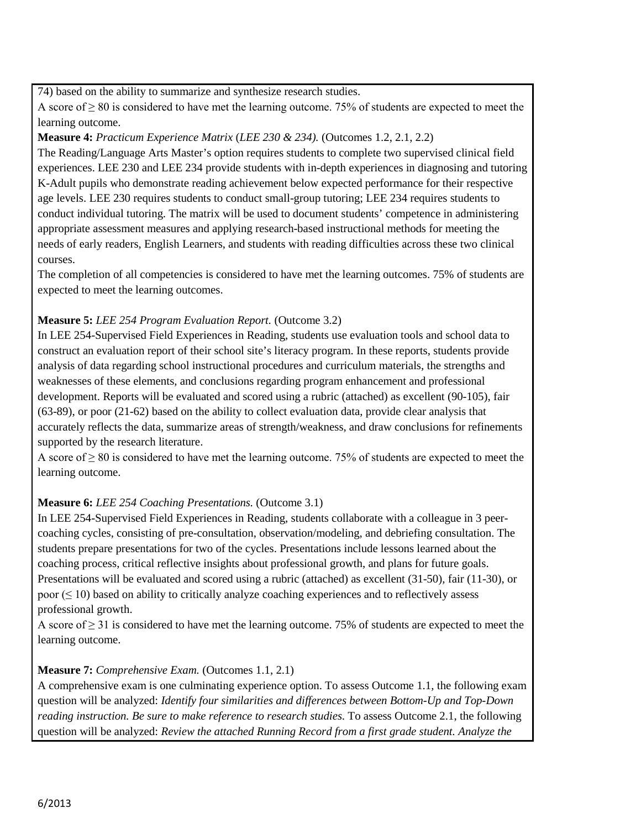74) based on the ability to summarize and synthesize research studies.

A score of  $> 80$  is considered to have met the learning outcome. 75% of students are expected to meet the learning outcome.

## **Measure 4:** *Practicum Experience Matrix* (*LEE 230 & 234).* (Outcomes 1.2, 2.1, 2.2)

The Reading/Language Arts Master's option requires students to complete two supervised clinical field experiences. LEE 230 and LEE 234 provide students with in-depth experiences in diagnosing and tutoring K-Adult pupils who demonstrate reading achievement below expected performance for their respective age levels. LEE 230 requires students to conduct small-group tutoring; LEE 234 requires students to conduct individual tutoring. The matrix will be used to document students' competence in administering appropriate assessment measures and applying research-based instructional methods for meeting the needs of early readers, English Learners, and students with reading difficulties across these two clinical courses.

The completion of all competencies is considered to have met the learning outcomes. 75% of students are expected to meet the learning outcomes.

## **Measure 5:** *LEE 254 Program Evaluation Report.* (Outcome 3.2)

In LEE 254-Supervised Field Experiences in Reading, students use evaluation tools and school data to construct an evaluation report of their school site's literacy program. In these reports, students provide analysis of data regarding school instructional procedures and curriculum materials, the strengths and weaknesses of these elements, and conclusions regarding program enhancement and professional development. Reports will be evaluated and scored using a rubric (attached) as excellent (90-105), fair (63-89), or poor (21-62) based on the ability to collect evaluation data, provide clear analysis that accurately reflects the data, summarize areas of strength/weakness, and draw conclusions for refinements supported by the research literature.

A score of  $> 80$  is considered to have met the learning outcome. 75% of students are expected to meet the learning outcome.

## **Measure 6:** *LEE 254 Coaching Presentations.* (Outcome 3.1)

In LEE 254-Supervised Field Experiences in Reading, students collaborate with a colleague in 3 peercoaching cycles, consisting of pre-consultation, observation/modeling, and debriefing consultation. The students prepare presentations for two of the cycles. Presentations include lessons learned about the coaching process, critical reflective insights about professional growth, and plans for future goals. Presentations will be evaluated and scored using a rubric (attached) as excellent (31-50), fair (11-30), or poor  $(\leq 10)$  based on ability to critically analyze coaching experiences and to reflectively assess professional growth.

A score of  $\geq$  31 is considered to have met the learning outcome. 75% of students are expected to meet the learning outcome.

# **Measure 7:** *Comprehensive Exam.* (Outcomes 1.1, 2.1)

A comprehensive exam is one culminating experience option. To assess Outcome 1.1, the following exam question will be analyzed: *Identify four similarities and differences between Bottom-Up and Top-Down reading instruction. Be sure to make reference to research studies.* To assess Outcome 2.1, the following question will be analyzed: *Review the attached Running Record from a first grade student. Analyze the*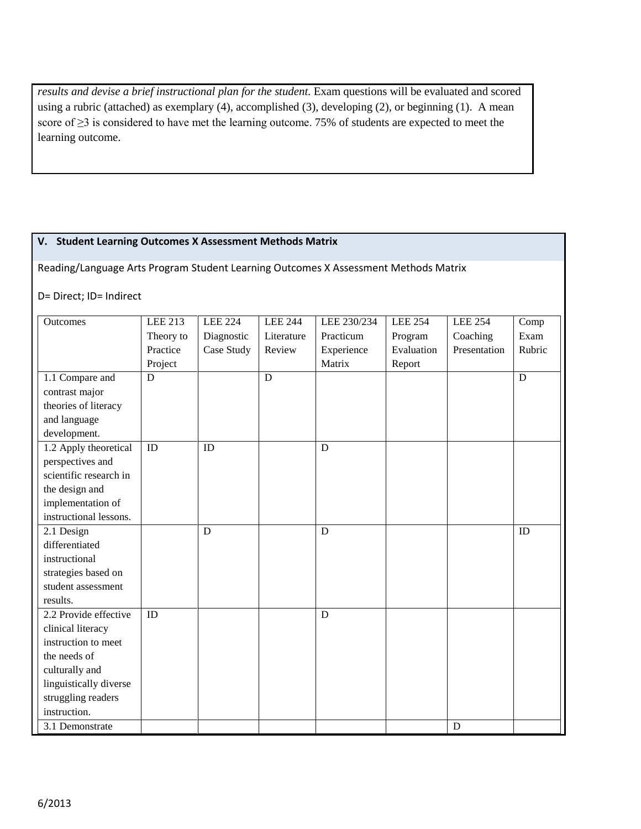*results and devise a brief instructional plan for the student.* Exam questions will be evaluated and scored using a rubric (attached) as exemplary (4), accomplished (3), developing (2), or beginning (1). A mean score of ≥3 is considered to have met the learning outcome. 75% of students are expected to meet the learning outcome.

## **V. Student Learning Outcomes X Assessment Methods Matrix**

Reading/Language Arts Program Student Learning Outcomes X Assessment Methods Matrix

## D= Direct; ID= Indirect

| Outcomes               | <b>LEE 213</b> | <b>LEE 224</b> | <b>LEE 244</b> | LEE 230/234 | <b>LEE 254</b> | <b>LEE 254</b> | Comp   |
|------------------------|----------------|----------------|----------------|-------------|----------------|----------------|--------|
|                        | Theory to      | Diagnostic     | Literature     | Practicum   | Program        | Coaching       | Exam   |
|                        | Practice       | Case Study     | Review         | Experience  | Evaluation     | Presentation   | Rubric |
|                        | Project        |                |                | Matrix      | Report         |                |        |
| 1.1 Compare and        | D              |                | D              |             |                |                | D      |
| contrast major         |                |                |                |             |                |                |        |
| theories of literacy   |                |                |                |             |                |                |        |
| and language           |                |                |                |             |                |                |        |
| development.           |                |                |                |             |                |                |        |
| 1.2 Apply theoretical  | ID             | ID             |                | D           |                |                |        |
| perspectives and       |                |                |                |             |                |                |        |
| scientific research in |                |                |                |             |                |                |        |
| the design and         |                |                |                |             |                |                |        |
| implementation of      |                |                |                |             |                |                |        |
| instructional lessons. |                |                |                |             |                |                |        |
| 2.1 Design             |                | D              |                | D           |                |                | ID     |
| differentiated         |                |                |                |             |                |                |        |
| instructional          |                |                |                |             |                |                |        |
| strategies based on    |                |                |                |             |                |                |        |
| student assessment     |                |                |                |             |                |                |        |
| results.               |                |                |                |             |                |                |        |
| 2.2 Provide effective  | ID             |                |                | D           |                |                |        |
| clinical literacy      |                |                |                |             |                |                |        |
| instruction to meet    |                |                |                |             |                |                |        |
| the needs of           |                |                |                |             |                |                |        |
| culturally and         |                |                |                |             |                |                |        |
| linguistically diverse |                |                |                |             |                |                |        |
| struggling readers     |                |                |                |             |                |                |        |
| instruction.           |                |                |                |             |                |                |        |
| 3.1 Demonstrate        |                |                |                |             |                | D              |        |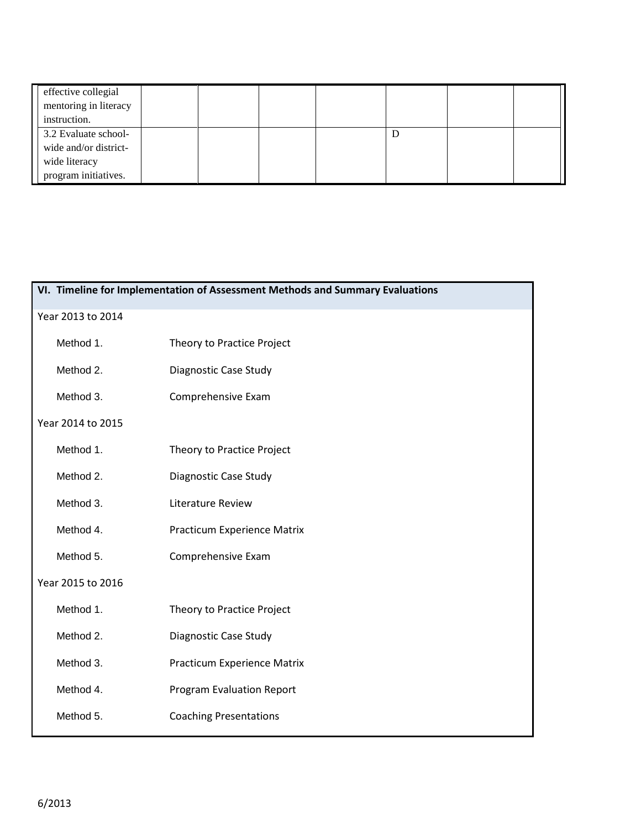| effective collegial<br>mentoring in literacy<br>instruction. |  |  |  |  |
|--------------------------------------------------------------|--|--|--|--|
| 3.2 Evaluate school-                                         |  |  |  |  |
| wide and/or district-                                        |  |  |  |  |
| wide literacy                                                |  |  |  |  |
| program initiatives.                                         |  |  |  |  |

|                   | VI. Timeline for Implementation of Assessment Methods and Summary Evaluations |  |  |  |  |  |
|-------------------|-------------------------------------------------------------------------------|--|--|--|--|--|
| Year 2013 to 2014 |                                                                               |  |  |  |  |  |
| Method 1.         | Theory to Practice Project                                                    |  |  |  |  |  |
| Method 2.         | Diagnostic Case Study                                                         |  |  |  |  |  |
| Method 3.         | Comprehensive Exam                                                            |  |  |  |  |  |
| Year 2014 to 2015 |                                                                               |  |  |  |  |  |
| Method 1.         | Theory to Practice Project                                                    |  |  |  |  |  |
| Method 2.         | Diagnostic Case Study                                                         |  |  |  |  |  |
| Method 3.         | Literature Review                                                             |  |  |  |  |  |
| Method 4.         | Practicum Experience Matrix                                                   |  |  |  |  |  |
| Method 5.         | Comprehensive Exam                                                            |  |  |  |  |  |
| Year 2015 to 2016 |                                                                               |  |  |  |  |  |
| Method 1.         | Theory to Practice Project                                                    |  |  |  |  |  |
| Method 2.         | Diagnostic Case Study                                                         |  |  |  |  |  |
| Method 3.         | Practicum Experience Matrix                                                   |  |  |  |  |  |
| Method 4.         | <b>Program Evaluation Report</b>                                              |  |  |  |  |  |
| Method 5.         | <b>Coaching Presentations</b>                                                 |  |  |  |  |  |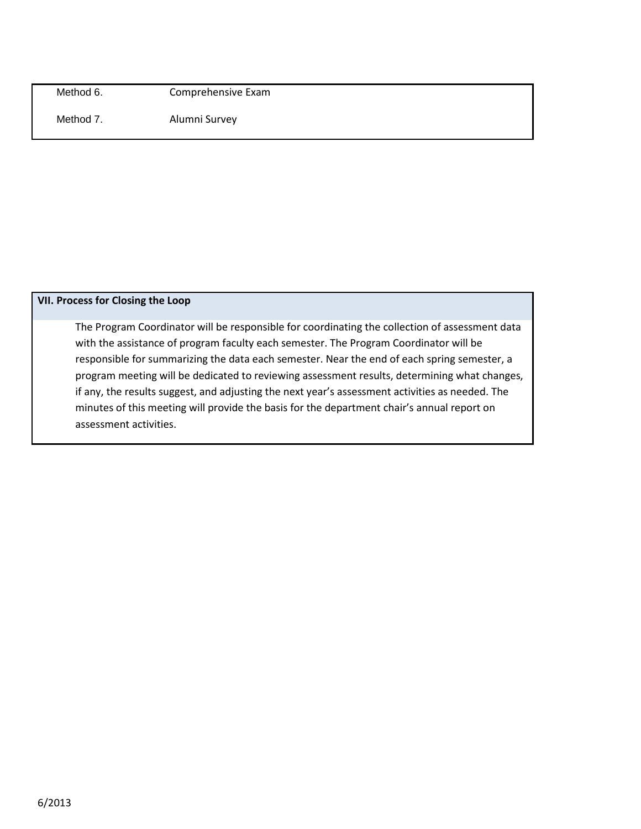Method 6. Comprehensive Exam

Method 7. Alumni Survey

## **VII. Process for Closing the Loop**

The Program Coordinator will be responsible for coordinating the collection of assessment data with the assistance of program faculty each semester. The Program Coordinator will be responsible for summarizing the data each semester. Near the end of each spring semester, a program meeting will be dedicated to reviewing assessment results, determining what changes, if any, the results suggest, and adjusting the next year's assessment activities as needed. The minutes of this meeting will provide the basis for the department chair's annual report on assessment activities.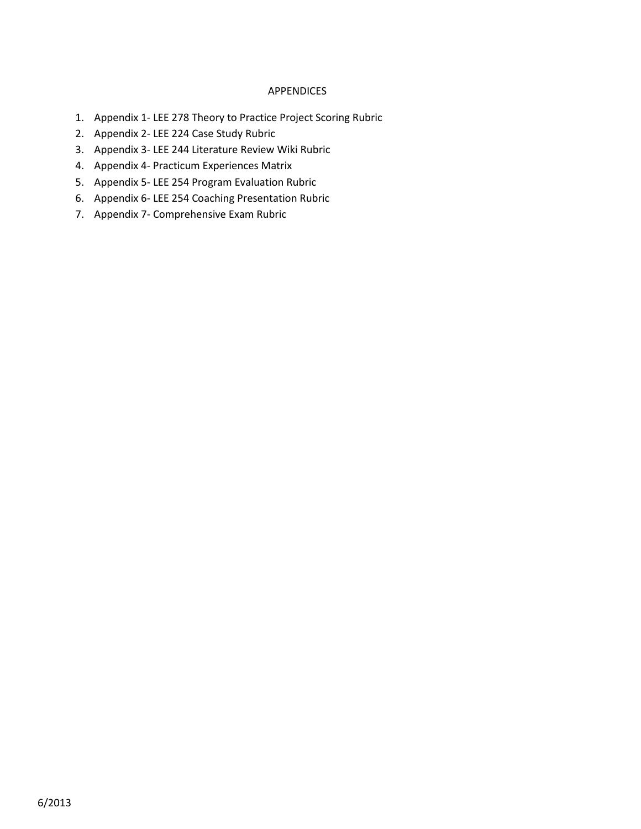#### APPENDICES

- 1. Appendix 1- LEE 278 Theory to Practice Project Scoring Rubric
- 2. Appendix 2- LEE 224 Case Study Rubric
- 3. Appendix 3- LEE 244 Literature Review Wiki Rubric
- 4. Appendix 4- Practicum Experiences Matrix
- 5. Appendix 5- LEE 254 Program Evaluation Rubric
- 6. Appendix 6- LEE 254 Coaching Presentation Rubric
- 7. Appendix 7- Comprehensive Exam Rubric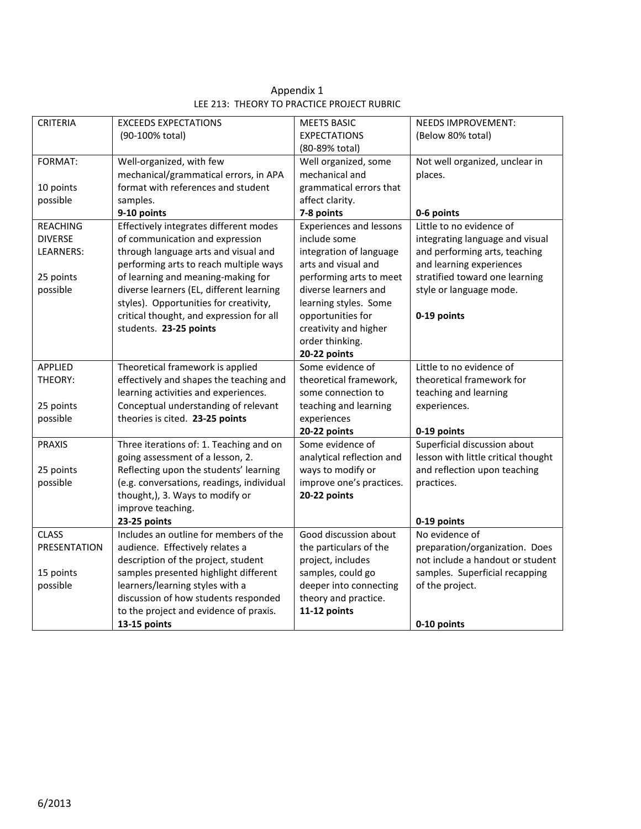| <b>CRITERIA</b>     | <b>EXCEEDS EXPECTATIONS</b>               | <b>MEETS BASIC</b>             | <b>NEEDS IMPROVEMENT:</b>           |
|---------------------|-------------------------------------------|--------------------------------|-------------------------------------|
|                     | (90-100% total)                           | <b>EXPECTATIONS</b>            | (Below 80% total)                   |
|                     |                                           | (80-89% total)                 |                                     |
| FORMAT:             | Well-organized, with few                  | Well organized, some           | Not well organized, unclear in      |
|                     | mechanical/grammatical errors, in APA     | mechanical and                 | places.                             |
| 10 points           | format with references and student        | grammatical errors that        |                                     |
| possible            | samples.                                  | affect clarity.                |                                     |
|                     | 9-10 points                               | 7-8 points                     | 0-6 points                          |
| <b>REACHING</b>     | Effectively integrates different modes    | <b>Experiences and lessons</b> | Little to no evidence of            |
| <b>DIVERSE</b>      | of communication and expression           | include some                   | integrating language and visual     |
| LEARNERS:           | through language arts and visual and      | integration of language        | and performing arts, teaching       |
|                     | performing arts to reach multiple ways    | arts and visual and            | and learning experiences            |
| 25 points           | of learning and meaning-making for        | performing arts to meet        | stratified toward one learning      |
| possible            | diverse learners (EL, different learning  | diverse learners and           | style or language mode.             |
|                     | styles). Opportunities for creativity,    | learning styles. Some          |                                     |
|                     | critical thought, and expression for all  | opportunities for              | 0-19 points                         |
|                     | students. 23-25 points                    | creativity and higher          |                                     |
|                     |                                           | order thinking.                |                                     |
|                     |                                           | 20-22 points                   |                                     |
| APPLIED             | Theoretical framework is applied          | Some evidence of               | Little to no evidence of            |
| THEORY:             | effectively and shapes the teaching and   | theoretical framework,         | theoretical framework for           |
|                     | learning activities and experiences.      | some connection to             | teaching and learning               |
| 25 points           | Conceptual understanding of relevant      | teaching and learning          | experiences.                        |
| possible            | theories is cited. 23-25 points           | experiences                    |                                     |
|                     |                                           | 20-22 points                   | 0-19 points                         |
| <b>PRAXIS</b>       | Three iterations of: 1. Teaching and on   | Some evidence of               | Superficial discussion about        |
|                     | going assessment of a lesson, 2.          | analytical reflection and      | lesson with little critical thought |
| 25 points           | Reflecting upon the students' learning    | ways to modify or              | and reflection upon teaching        |
| possible            | (e.g. conversations, readings, individual | improve one's practices.       | practices.                          |
|                     | thought,), 3. Ways to modify or           | 20-22 points                   |                                     |
|                     | improve teaching.                         |                                |                                     |
|                     | 23-25 points                              |                                | 0-19 points                         |
| <b>CLASS</b>        | Includes an outline for members of the    | Good discussion about          | No evidence of                      |
| <b>PRESENTATION</b> | audience. Effectively relates a           | the particulars of the         | preparation/organization. Does      |
|                     | description of the project, student       | project, includes              | not include a handout or student    |
| 15 points           | samples presented highlight different     | samples, could go              | samples. Superficial recapping      |
| possible            | learners/learning styles with a           | deeper into connecting         | of the project.                     |
|                     | discussion of how students responded      | theory and practice.           |                                     |
|                     | to the project and evidence of praxis.    | 11-12 points                   |                                     |
|                     | 13-15 points                              |                                | 0-10 points                         |

Appendix 1 LEE 213: THEORY TO PRACTICE PROJECT RUBRIC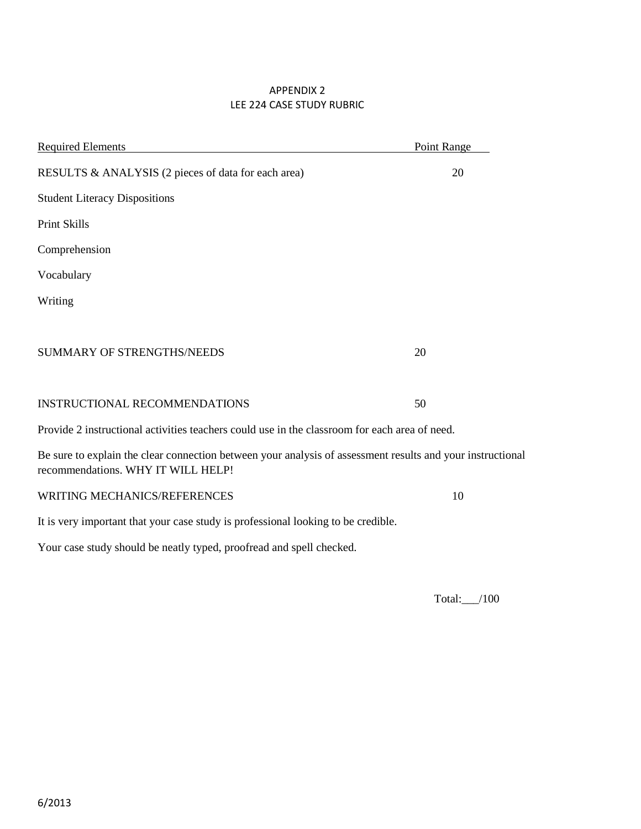## APPENDIX 2 LEE 224 CASE STUDY RUBRIC

| <b>Required Elements</b>                                                                                                                         | Point Range |
|--------------------------------------------------------------------------------------------------------------------------------------------------|-------------|
| RESULTS & ANALYSIS (2 pieces of data for each area)                                                                                              | 20          |
| <b>Student Literacy Dispositions</b>                                                                                                             |             |
| Print Skills                                                                                                                                     |             |
| Comprehension                                                                                                                                    |             |
| Vocabulary                                                                                                                                       |             |
| Writing                                                                                                                                          |             |
|                                                                                                                                                  |             |
| <b>SUMMARY OF STRENGTHS/NEEDS</b>                                                                                                                | 20          |
|                                                                                                                                                  |             |
| <b>INSTRUCTIONAL RECOMMENDATIONS</b>                                                                                                             | 50          |
| Provide 2 instructional activities teachers could use in the classroom for each area of need.                                                    |             |
| Be sure to explain the clear connection between your analysis of assessment results and your instructional<br>recommendations. WHY IT WILL HELP! |             |
| WRITING MECHANICS/REFERENCES                                                                                                                     | 10          |
| It is very important that your case study is professional looking to be credible.                                                                |             |
| Your case study should be neatly typed, proofread and spell checked.                                                                             |             |
|                                                                                                                                                  |             |

Total:\_\_\_/100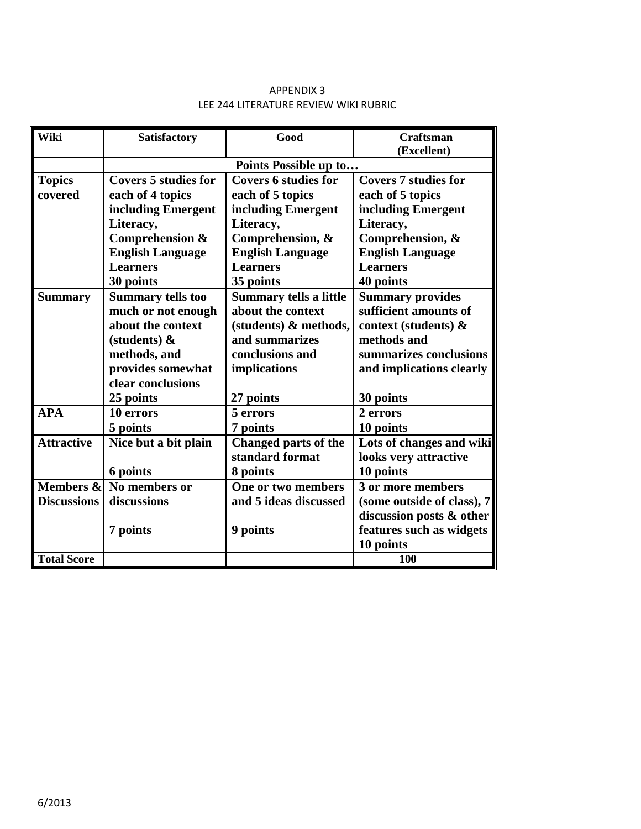## APPENDIX 3 LEE 244 LITERATURE REVIEW WIKI RUBRIC

| Wiki               | <b>Satisfactory</b>         | Good                          | <b>Craftsman</b>            |  |  |
|--------------------|-----------------------------|-------------------------------|-----------------------------|--|--|
|                    |                             |                               | (Excellent)                 |  |  |
|                    |                             | Points Possible up to         |                             |  |  |
| <b>Topics</b>      | <b>Covers 5 studies for</b> | <b>Covers 6 studies for</b>   | <b>Covers 7 studies for</b> |  |  |
| covered            | each of 4 topics            | each of 5 topics              | each of 5 topics            |  |  |
|                    | including Emergent          | including Emergent            | including Emergent          |  |  |
|                    | Literacy,                   | Literacy,                     | Literacy,                   |  |  |
|                    | Comprehension &             | Comprehension, &              | Comprehension, &            |  |  |
|                    | <b>English Language</b>     | <b>English Language</b>       | <b>English Language</b>     |  |  |
|                    | <b>Learners</b>             | <b>Learners</b>               | <b>Learners</b>             |  |  |
|                    | 30 points                   | 35 points                     | 40 points                   |  |  |
| <b>Summary</b>     | <b>Summary tells too</b>    | <b>Summary tells a little</b> | <b>Summary provides</b>     |  |  |
|                    | much or not enough          | about the context             | sufficient amounts of       |  |  |
|                    | about the context           | (students) & methods,         | context (students) &        |  |  |
|                    | (students) $\&$             | and summarizes                | methods and                 |  |  |
|                    | methods, and                | conclusions and               | summarizes conclusions      |  |  |
|                    | provides somewhat           | implications                  | and implications clearly    |  |  |
|                    | clear conclusions           |                               |                             |  |  |
|                    | 25 points                   | 27 points                     | 30 points                   |  |  |
| <b>APA</b>         | 10 errors                   | 5 errors                      | 2 errors                    |  |  |
|                    | 5 points                    | 7 points                      | 10 points                   |  |  |
| <b>Attractive</b>  | Nice but a bit plain        | <b>Changed parts of the</b>   | Lots of changes and wiki    |  |  |
|                    |                             | standard format               | looks very attractive       |  |  |
|                    | 6 points                    | 8 points                      | 10 points                   |  |  |
| Members &          | No members or               | One or two members            | 3 or more members           |  |  |
| <b>Discussions</b> | discussions                 | and 5 ideas discussed         | (some outside of class), 7  |  |  |
|                    |                             |                               | discussion posts & other    |  |  |
|                    | 7 points                    | 9 points                      | features such as widgets    |  |  |
|                    |                             |                               | 10 points                   |  |  |
| <b>Total Score</b> |                             |                               | 100                         |  |  |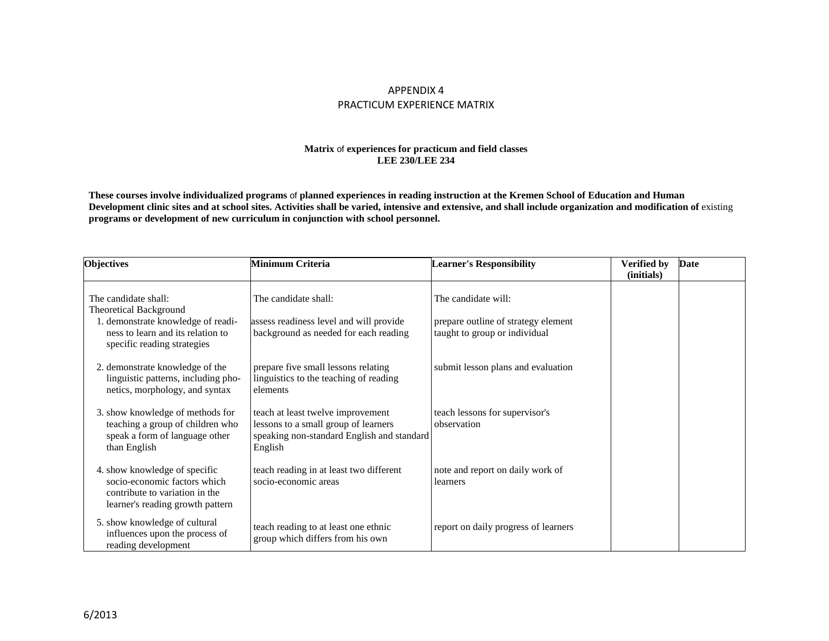#### APPENDIX 4 PRACTICUM EXPERIENCE MATRIX

#### **Matrix** of **experiences for practicum and field classes LEE 230/LEE 234**

**These courses involve individualized programs** of **planned experiences in reading instruction at the Kremen School of Education and Human**  Development clinic sites and at school sites. Activities shall be varied, intensive and extensive, and shall include organization and modification of existing **programs or development of new curriculum in conjunction with school personnel.**

| <b>Objectives</b>                                                                                                                   | Minimum Criteria                                                                                                                   | <b>Learner's Responsibility</b>                                      | <b>Verified by</b><br>(initials) | <b>Date</b> |
|-------------------------------------------------------------------------------------------------------------------------------------|------------------------------------------------------------------------------------------------------------------------------------|----------------------------------------------------------------------|----------------------------------|-------------|
| The candidate shall:<br><b>Theoretical Background</b>                                                                               | The candidate shall:                                                                                                               | The candidate will:                                                  |                                  |             |
| . demonstrate knowledge of readi-<br>ness to learn and its relation to<br>specific reading strategies                               | assess readiness level and will provide<br>background as needed for each reading                                                   | prepare outline of strategy element<br>taught to group or individual |                                  |             |
| 2. demonstrate knowledge of the<br>linguistic patterns, including pho-<br>netics, morphology, and syntax                            | prepare five small lessons relating<br>linguistics to the teaching of reading<br>elements                                          | submit lesson plans and evaluation                                   |                                  |             |
| 3. show knowledge of methods for<br>teaching a group of children who<br>speak a form of language other<br>than English              | teach at least twelve improvement<br>lessons to a small group of learners<br>speaking non-standard English and standard<br>English | teach lessons for supervisor's<br>observation                        |                                  |             |
| 4. show knowledge of specific<br>socio-economic factors which<br>contribute to variation in the<br>learner's reading growth pattern | teach reading in at least two different<br>socio-economic areas                                                                    | note and report on daily work of<br>learners                         |                                  |             |
| 5. show knowledge of cultural<br>influences upon the process of<br>reading development                                              | teach reading to at least one ethnic<br>group which differs from his own                                                           | report on daily progress of learners                                 |                                  |             |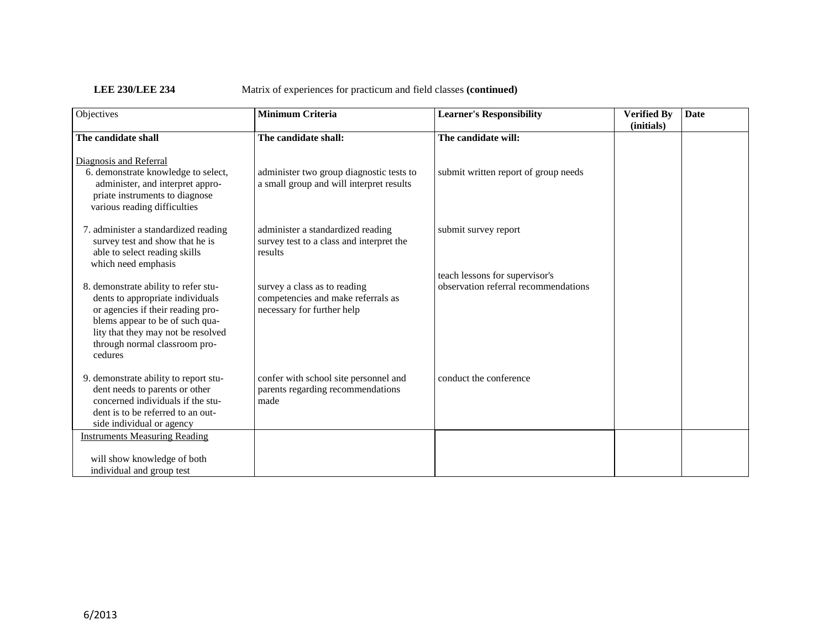| Objectives                                                                                                                                                                                                                         | <b>Minimum Criteria</b>                                                                          | <b>Learner's Responsibility</b>                                        | <b>Verified By</b><br>(initials) | <b>Date</b> |
|------------------------------------------------------------------------------------------------------------------------------------------------------------------------------------------------------------------------------------|--------------------------------------------------------------------------------------------------|------------------------------------------------------------------------|----------------------------------|-------------|
| The candidate shall                                                                                                                                                                                                                | The candidate shall:                                                                             | The candidate will:                                                    |                                  |             |
| Diagnosis and Referral<br>6. demonstrate knowledge to select,<br>administer, and interpret appro-<br>priate instruments to diagnose<br>various reading difficulties                                                                | administer two group diagnostic tests to<br>a small group and will interpret results             | submit written report of group needs                                   |                                  |             |
| 7. administer a standardized reading<br>survey test and show that he is<br>able to select reading skills<br>which need emphasis                                                                                                    | administer a standardized reading<br>survey test to a class and interpret the<br>results         | submit survey report                                                   |                                  |             |
| 8. demonstrate ability to refer stu-<br>dents to appropriate individuals<br>or agencies if their reading pro-<br>blems appear to be of such qua-<br>lity that they may not be resolved<br>through normal classroom pro-<br>cedures | survey a class as to reading<br>competencies and make referrals as<br>necessary for further help | teach lessons for supervisor's<br>observation referral recommendations |                                  |             |
| 9. demonstrate ability to report stu-<br>dent needs to parents or other<br>concerned individuals if the stu-<br>dent is to be referred to an out-<br>side individual or agency                                                     | confer with school site personnel and<br>parents regarding recommendations<br>made               | conduct the conference                                                 |                                  |             |
| <b>Instruments Measuring Reading</b><br>will show knowledge of both<br>individual and group test                                                                                                                                   |                                                                                                  |                                                                        |                                  |             |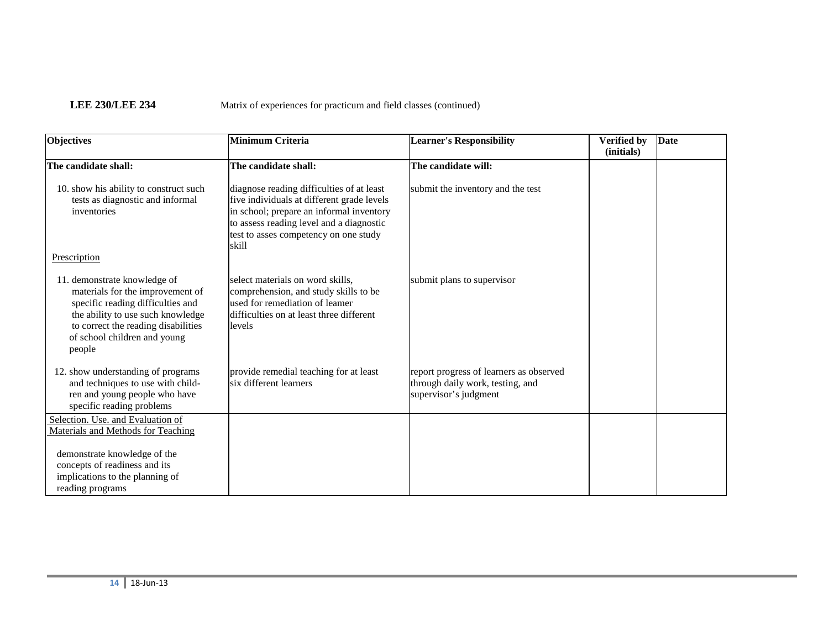| <b>Objectives</b>                                                                                                                                                                                                           | Minimum Criteria                                                                                                                                                                                                                  | <b>Learner's Responsibility</b>                                                                      | <b>Verified by</b><br>(initials) | Date |
|-----------------------------------------------------------------------------------------------------------------------------------------------------------------------------------------------------------------------------|-----------------------------------------------------------------------------------------------------------------------------------------------------------------------------------------------------------------------------------|------------------------------------------------------------------------------------------------------|----------------------------------|------|
| The candidate shall:                                                                                                                                                                                                        | The candidate shall:                                                                                                                                                                                                              | The candidate will:                                                                                  |                                  |      |
| 10. show his ability to construct such<br>tests as diagnostic and informal<br>inventories                                                                                                                                   | diagnose reading difficulties of at least<br>five individuals at different grade levels<br>in school; prepare an informal inventory<br>to assess reading level and a diagnostic<br>test to asses competency on one study<br>skill | submit the inventory and the test                                                                    |                                  |      |
| Prescription                                                                                                                                                                                                                |                                                                                                                                                                                                                                   |                                                                                                      |                                  |      |
| 11. demonstrate knowledge of<br>materials for the improvement of<br>specific reading difficulties and<br>the ability to use such knowledge<br>to correct the reading disabilities<br>of school children and young<br>people | select materials on word skills,<br>comprehension, and study skills to be<br>used for remediation of leamer<br>difficulties on at least three different<br>levels                                                                 | submit plans to supervisor                                                                           |                                  |      |
| 12. show understanding of programs<br>and techniques to use with child-<br>ren and young people who have<br>specific reading problems                                                                                       | provide remedial teaching for at least<br>six different learners                                                                                                                                                                  | report progress of learners as observed<br>through daily work, testing, and<br>supervisor's judgment |                                  |      |
| Selection. Use, and Evaluation of<br>Materials and Methods for Teaching                                                                                                                                                     |                                                                                                                                                                                                                                   |                                                                                                      |                                  |      |
| demonstrate knowledge of the<br>concepts of readiness and its<br>implications to the planning of<br>reading programs                                                                                                        |                                                                                                                                                                                                                                   |                                                                                                      |                                  |      |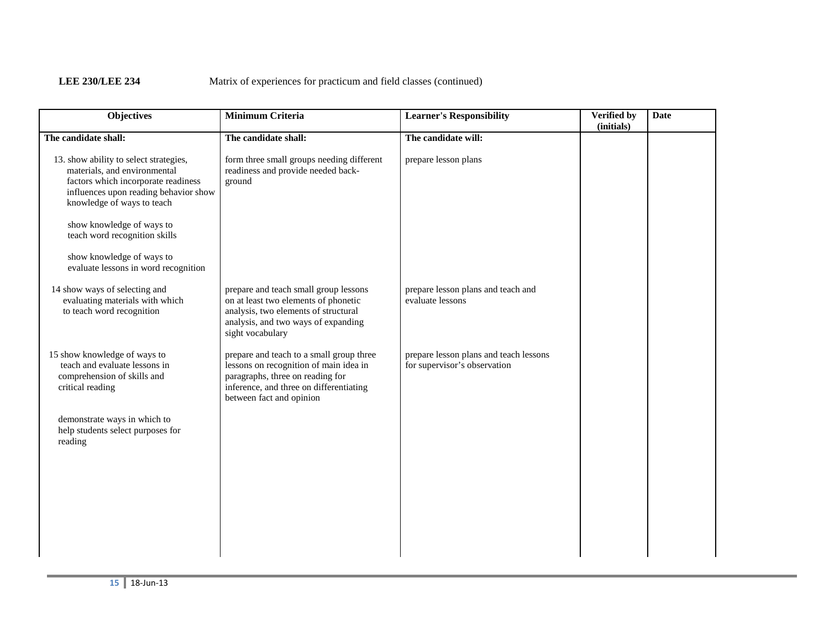| <b>Objectives</b>                                                                                                                                                                    | <b>Minimum Criteria</b>                                                                                                                                                                       | <b>Learner's Responsibility</b>                                        | Verified by<br>(initials) | <b>Date</b> |
|--------------------------------------------------------------------------------------------------------------------------------------------------------------------------------------|-----------------------------------------------------------------------------------------------------------------------------------------------------------------------------------------------|------------------------------------------------------------------------|---------------------------|-------------|
| The candidate shall:                                                                                                                                                                 | The candidate shall:                                                                                                                                                                          | The candidate will:                                                    |                           |             |
| 13. show ability to select strategies,<br>materials, and environmental<br>factors which incorporate readiness<br>influences upon reading behavior show<br>knowledge of ways to teach | form three small groups needing different<br>readiness and provide needed back-<br>ground                                                                                                     | prepare lesson plans                                                   |                           |             |
| show knowledge of ways to<br>teach word recognition skills                                                                                                                           |                                                                                                                                                                                               |                                                                        |                           |             |
| show knowledge of ways to<br>evaluate lessons in word recognition                                                                                                                    |                                                                                                                                                                                               |                                                                        |                           |             |
| 14 show ways of selecting and<br>evaluating materials with which<br>to teach word recognition                                                                                        | prepare and teach small group lessons<br>on at least two elements of phonetic<br>analysis, two elements of structural<br>analysis, and two ways of expanding<br>sight vocabulary              | prepare lesson plans and teach and<br>evaluate lessons                 |                           |             |
| 15 show knowledge of ways to<br>teach and evaluate lessons in<br>comprehension of skills and<br>critical reading                                                                     | prepare and teach to a small group three<br>lessons on recognition of main idea in<br>paragraphs, three on reading for<br>inference, and three on differentiating<br>between fact and opinion | prepare lesson plans and teach lessons<br>for supervisor's observation |                           |             |
| demonstrate ways in which to<br>help students select purposes for<br>reading                                                                                                         |                                                                                                                                                                                               |                                                                        |                           |             |
|                                                                                                                                                                                      |                                                                                                                                                                                               |                                                                        |                           |             |
|                                                                                                                                                                                      |                                                                                                                                                                                               |                                                                        |                           |             |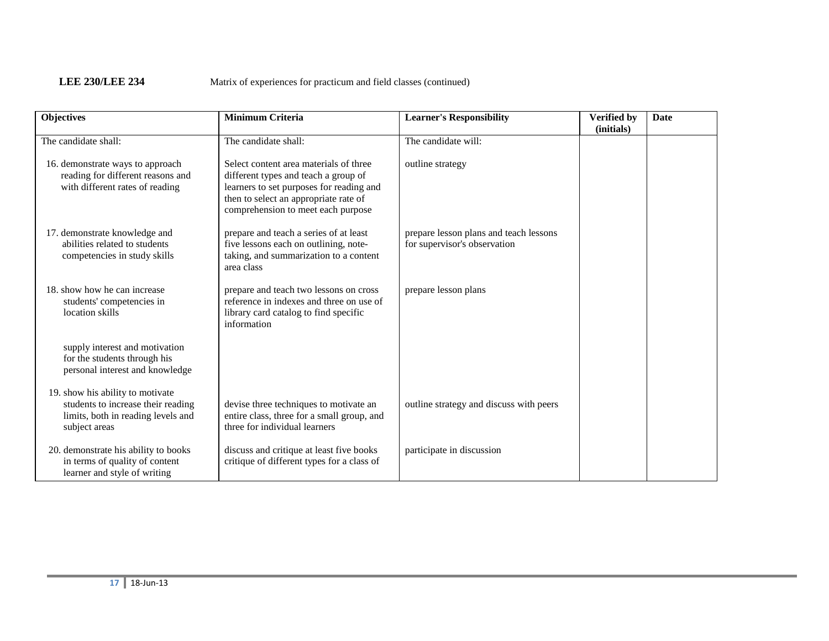| <b>Objectives</b>                                                                                                             | <b>Minimum Criteria</b>                                                                                                                                                                                   | <b>Learner's Responsibility</b>                                        | <b>Verified by</b><br>(initials) | Date |
|-------------------------------------------------------------------------------------------------------------------------------|-----------------------------------------------------------------------------------------------------------------------------------------------------------------------------------------------------------|------------------------------------------------------------------------|----------------------------------|------|
| The candidate shall:                                                                                                          | The candidate shall:                                                                                                                                                                                      | The candidate will:                                                    |                                  |      |
| 16. demonstrate ways to approach<br>reading for different reasons and<br>with different rates of reading                      | Select content area materials of three<br>different types and teach a group of<br>learners to set purposes for reading and<br>then to select an appropriate rate of<br>comprehension to meet each purpose | outline strategy                                                       |                                  |      |
| 17. demonstrate knowledge and<br>abilities related to students<br>competencies in study skills                                | prepare and teach a series of at least<br>five lessons each on outlining, note-<br>taking, and summarization to a content<br>area class                                                                   | prepare lesson plans and teach lessons<br>for supervisor's observation |                                  |      |
| 18. show how he can increase<br>students' competencies in<br>location skills                                                  | prepare and teach two lessons on cross<br>reference in indexes and three on use of<br>library card catalog to find specific<br>information                                                                | prepare lesson plans                                                   |                                  |      |
| supply interest and motivation<br>for the students through his<br>personal interest and knowledge                             |                                                                                                                                                                                                           |                                                                        |                                  |      |
| 19. show his ability to motivate<br>students to increase their reading<br>limits, both in reading levels and<br>subject areas | devise three techniques to motivate an<br>entire class, three for a small group, and<br>three for individual learners                                                                                     | outline strategy and discuss with peers                                |                                  |      |
| 20. demonstrate his ability to books<br>in terms of quality of content<br>learner and style of writing                        | discuss and critique at least five books<br>critique of different types for a class of                                                                                                                    | participate in discussion                                              |                                  |      |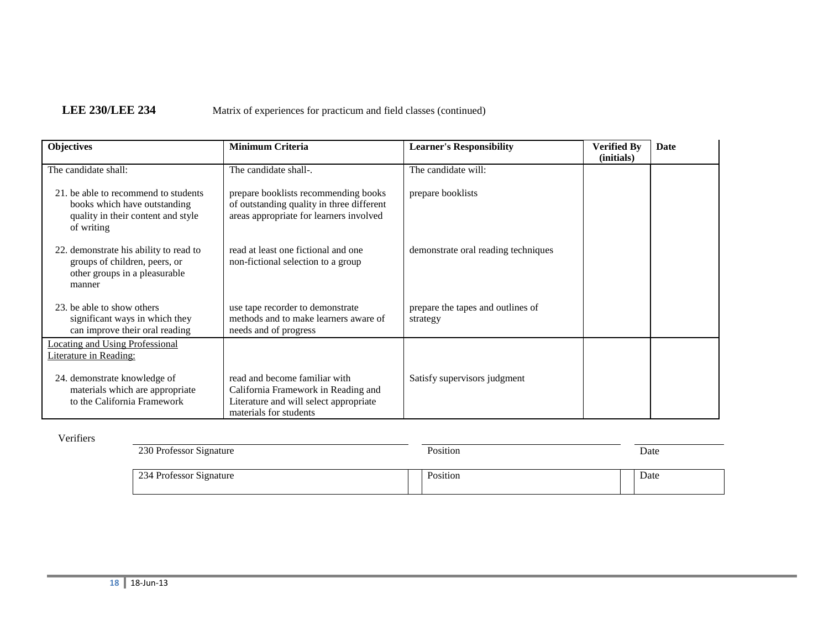| <b>Objectives</b>                                                                                                        | <b>Minimum Criteria</b>                                                                                                                  | <b>Learner's Responsibility</b>               | <b>Verified By</b><br>(initials) | Date |
|--------------------------------------------------------------------------------------------------------------------------|------------------------------------------------------------------------------------------------------------------------------------------|-----------------------------------------------|----------------------------------|------|
| The candidate shall:                                                                                                     | The candidate shall-.                                                                                                                    | The candidate will:                           |                                  |      |
| 21, be able to recommend to students<br>books which have outstanding<br>quality in their content and style<br>of writing | prepare booklists recommending books<br>of outstanding quality in three different<br>areas appropriate for learners involved             | prepare booklists                             |                                  |      |
| 22. demonstrate his ability to read to<br>groups of children, peers, or<br>other groups in a pleasurable<br>manner       | read at least one fictional and one<br>non-fictional selection to a group                                                                | demonstrate oral reading techniques           |                                  |      |
| 23, be able to show others<br>significant ways in which they<br>can improve their oral reading                           | use tape recorder to demonstrate<br>methods and to make learners aware of<br>needs and of progress                                       | prepare the tapes and outlines of<br>strategy |                                  |      |
| <b>Locating and Using Professional</b><br>Literature in Reading:                                                         |                                                                                                                                          |                                               |                                  |      |
| 24. demonstrate knowledge of<br>materials which are appropriate<br>to the California Framework                           | read and become familiar with<br>California Framework in Reading and<br>Literature and will select appropriate<br>materials for students | Satisfy supervisors judgment                  |                                  |      |

## Verifiers

| 230 Professor Signature | Position | Date |  |
|-------------------------|----------|------|--|
| 234 Professor Signature | Position | Date |  |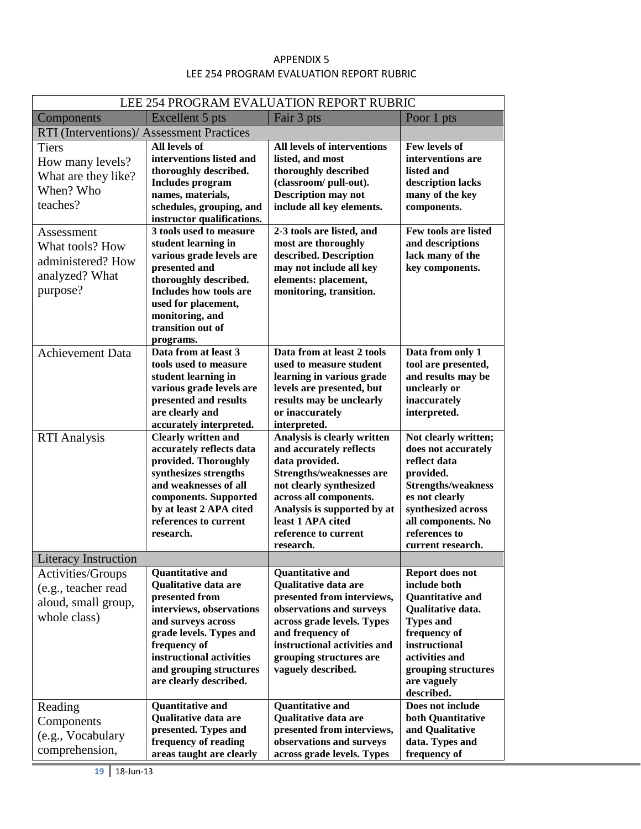## APPENDIX 5 LEE 254 PROGRAM EVALUATION REPORT RUBRIC

| LEE 254 PROGRAM EVALUATION REPORT RUBRIC                                                       |                                                                                                                                                                                                                                                        |                                                                                                                                                                                                                                                           |                                                                                                                                                                                                            |  |  |  |  |
|------------------------------------------------------------------------------------------------|--------------------------------------------------------------------------------------------------------------------------------------------------------------------------------------------------------------------------------------------------------|-----------------------------------------------------------------------------------------------------------------------------------------------------------------------------------------------------------------------------------------------------------|------------------------------------------------------------------------------------------------------------------------------------------------------------------------------------------------------------|--|--|--|--|
| Components                                                                                     | Fair 3 pts<br>Excellent 5 pts<br>Poor 1 pts                                                                                                                                                                                                            |                                                                                                                                                                                                                                                           |                                                                                                                                                                                                            |  |  |  |  |
| RTI (Interventions)/ Assessment Practices                                                      |                                                                                                                                                                                                                                                        |                                                                                                                                                                                                                                                           |                                                                                                                                                                                                            |  |  |  |  |
| <b>Tiers</b><br>How many levels?<br>What are they like?<br>When? Who<br>teaches?<br>Assessment | <b>All levels of</b><br>interventions listed and<br>thoroughly described.<br><b>Includes program</b><br>names, materials,<br>schedules, grouping, and<br>instructor qualifications.<br>3 tools used to measure                                         | All levels of interventions<br>listed, and most<br>thoroughly described<br>(classroom/ pull-out).<br><b>Description may not</b><br>include all key elements.<br>2-3 tools are listed, and                                                                 | Few levels of<br>interventions are<br>listed and<br>description lacks<br>many of the key<br>components.<br>Few tools are listed                                                                            |  |  |  |  |
| What tools? How<br>administered? How<br>analyzed? What<br>purpose?                             | student learning in<br>various grade levels are<br>presented and<br>thoroughly described.<br><b>Includes how tools are</b><br>used for placement,<br>monitoring, and<br>transition out of<br>programs.                                                 | most are thoroughly<br>described. Description<br>may not include all key<br>elements: placement,<br>monitoring, transition.                                                                                                                               | and descriptions<br>lack many of the<br>key components.                                                                                                                                                    |  |  |  |  |
| <b>Achievement Data</b>                                                                        | Data from at least 3<br>tools used to measure<br>student learning in<br>various grade levels are<br>presented and results<br>are clearly and<br>accurately interpreted.                                                                                | Data from at least 2 tools<br>used to measure student<br>learning in various grade<br>levels are presented, but<br>results may be unclearly<br>or inaccurately<br>interpreted.                                                                            | Data from only 1<br>tool are presented,<br>and results may be<br>unclearly or<br>inaccurately<br>interpreted.                                                                                              |  |  |  |  |
| <b>RTI Analysis</b>                                                                            | <b>Clearly written and</b><br>accurately reflects data<br>provided. Thoroughly<br>synthesizes strengths<br>and weaknesses of all<br>components. Supported<br>by at least 2 APA cited<br>references to current<br>research.                             | Analysis is clearly written<br>and accurately reflects<br>data provided.<br><b>Strengths/weaknesses are</b><br>not clearly synthesized<br>across all components.<br>Analysis is supported by at<br>least 1 APA cited<br>reference to current<br>research. | Not clearly written;<br>does not accurately<br>reflect data<br>provided.<br><b>Strengths/weakness</b><br>es not clearly<br>synthesized across<br>all components. No<br>references to<br>current research.  |  |  |  |  |
| <b>Literacy Instruction</b>                                                                    |                                                                                                                                                                                                                                                        |                                                                                                                                                                                                                                                           |                                                                                                                                                                                                            |  |  |  |  |
| Activities/Groups<br>(e.g., teacher read<br>aloud, small group,<br>whole class)                | <b>Quantitative and</b><br><b>Qualitative data are</b><br>presented from<br>interviews, observations<br>and surveys across<br>grade levels. Types and<br>frequency of<br>instructional activities<br>and grouping structures<br>are clearly described. | <b>Quantitative and</b><br>Qualitative data are<br>presented from interviews,<br>observations and surveys<br>across grade levels. Types<br>and frequency of<br>instructional activities and<br>grouping structures are<br>vaguely described.              | Report does not<br>include both<br><b>Quantitative and</b><br>Qualitative data.<br><b>Types and</b><br>frequency of<br>instructional<br>activities and<br>grouping structures<br>are vaguely<br>described. |  |  |  |  |
| Reading<br>Components<br>(e.g., Vocabulary<br>comprehension,                                   | <b>Quantitative and</b><br>Qualitative data are<br>presented. Types and<br>frequency of reading<br>areas taught are clearly                                                                                                                            | <b>Quantitative and</b><br>Qualitative data are<br>presented from interviews,<br>observations and surveys<br>across grade levels. Types                                                                                                                   | Does not include<br>both Quantitative<br>and Qualitative<br>data. Types and<br>frequency of                                                                                                                |  |  |  |  |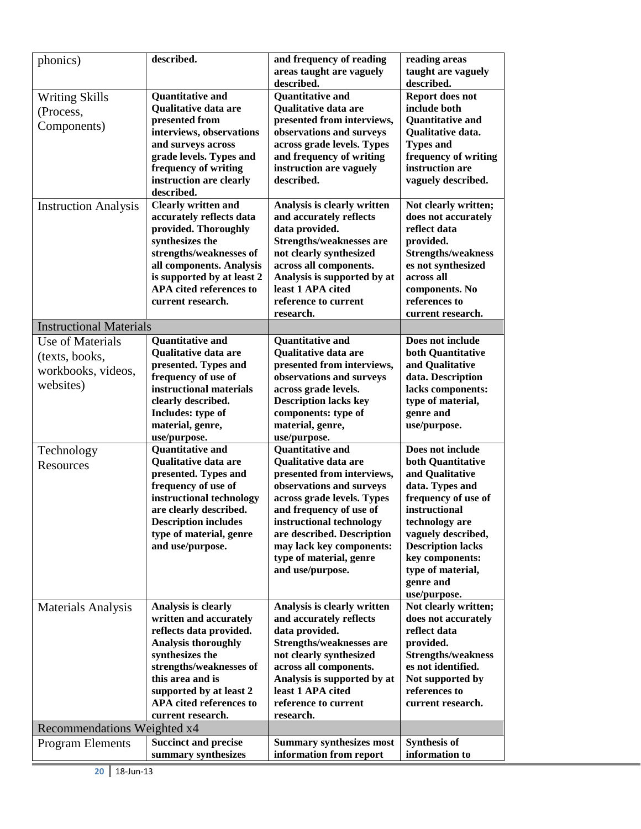| phonics)                       | described.                              | and frequency of reading                       | reading areas                           |  |
|--------------------------------|-----------------------------------------|------------------------------------------------|-----------------------------------------|--|
|                                |                                         | areas taught are vaguely<br>taught are vaguely |                                         |  |
|                                |                                         | described.<br>described.                       |                                         |  |
| <b>Writing Skills</b>          | <b>Quantitative and</b>                 | <b>Quantitative and</b>                        | Report does not                         |  |
| (Process,                      | Qualitative data are                    | Qualitative data are<br>include both           |                                         |  |
| Components)                    | presented from                          | presented from interviews,                     | <b>Ouantitative and</b>                 |  |
|                                | interviews, observations                | observations and surveys                       | Qualitative data.                       |  |
|                                | and surveys across                      | across grade levels. Types                     | <b>Types and</b>                        |  |
|                                | grade levels. Types and                 | and frequency of writing                       | frequency of writing<br>instruction are |  |
|                                | frequency of writing                    | instruction are vaguely                        |                                         |  |
|                                | instruction are clearly<br>described.   | described.                                     | vaguely described.                      |  |
| <b>Instruction Analysis</b>    | <b>Clearly written and</b>              | Analysis is clearly written                    | Not clearly written;                    |  |
|                                | accurately reflects data                | and accurately reflects                        | does not accurately                     |  |
|                                | provided. Thoroughly                    | data provided.                                 | reflect data                            |  |
|                                | synthesizes the                         | <b>Strengths/weaknesses are</b>                | provided.                               |  |
|                                | strengths/weaknesses of                 | not clearly synthesized                        | <b>Strengths/weakness</b>               |  |
|                                | all components. Analysis                | across all components.                         | es not synthesized                      |  |
|                                | is supported by at least 2              | Analysis is supported by at                    | across all                              |  |
|                                | APA cited references to                 | least 1 APA cited                              | components. No                          |  |
|                                | current research.                       | reference to current                           | references to                           |  |
|                                |                                         | research.                                      | current research.                       |  |
| <b>Instructional Materials</b> |                                         |                                                |                                         |  |
| Use of Materials               | <b>Quantitative and</b>                 | <b>Quantitative and</b>                        | Does not include                        |  |
| (texts, books,                 | <b>Oualitative data are</b>             | <b>Oualitative data are</b>                    | both Quantitative                       |  |
| workbooks, videos,             | presented. Types and                    | presented from interviews,                     | and Qualitative                         |  |
| websites)                      | frequency of use of                     | observations and surveys                       | data. Description                       |  |
|                                | instructional materials                 | across grade levels.                           | lacks components:                       |  |
|                                | clearly described.                      | <b>Description lacks key</b>                   | type of material,                       |  |
|                                | Includes: type of                       | components: type of                            | genre and                               |  |
|                                | material, genre,                        | material, genre,                               | use/purpose.                            |  |
|                                | use/purpose.<br><b>Quantitative and</b> | use/purpose.<br><b>Quantitative and</b>        | Does not include                        |  |
| Technology                     | <b>Qualitative data are</b>             | Qualitative data are                           | both Quantitative                       |  |
| <b>Resources</b>               | presented. Types and                    | presented from interviews,                     | and Qualitative                         |  |
|                                | frequency of use of                     | observations and surveys                       | data. Types and                         |  |
|                                | instructional technology                | across grade levels. Types                     | frequency of use of                     |  |
|                                | are clearly described.                  | and frequency of use of                        | instructional                           |  |
|                                | <b>Description includes</b>             | instructional technology                       | technology are                          |  |
|                                | type of material, genre                 | are described. Description                     | vaguely described,                      |  |
|                                | and use/purpose.                        | may lack key components:                       | <b>Description lacks</b>                |  |
|                                |                                         | type of material, genre                        | key components:                         |  |
|                                |                                         | and use/purpose.                               | type of material,                       |  |
|                                |                                         |                                                | genre and                               |  |
|                                |                                         |                                                | use/purpose.                            |  |
| Materials Analysis             | Analysis is clearly                     | Analysis is clearly written                    | Not clearly written;                    |  |
|                                | written and accurately                  | and accurately reflects                        | does not accurately                     |  |
|                                | reflects data provided.                 | data provided.                                 | reflect data                            |  |
|                                | <b>Analysis thoroughly</b>              | <b>Strengths/weaknesses are</b>                | provided.                               |  |
|                                | synthesizes the                         | not clearly synthesized                        | <b>Strengths/weakness</b>               |  |
|                                | strengths/weaknesses of                 | across all components.                         | es not identified.                      |  |
|                                | this area and is                        | Analysis is supported by at                    | Not supported by                        |  |
|                                | supported by at least 2                 | least 1 APA cited                              | references to                           |  |
|                                | APA cited references to                 | reference to current                           | current research.                       |  |
|                                | current research.                       | research.                                      |                                         |  |
| Recommendations Weighted x4    |                                         |                                                |                                         |  |
| <b>Program Elements</b>        | <b>Succinct and precise</b>             | <b>Summary synthesizes most</b>                | <b>Synthesis of</b>                     |  |
|                                | summary synthesizes                     | information from report                        | information to                          |  |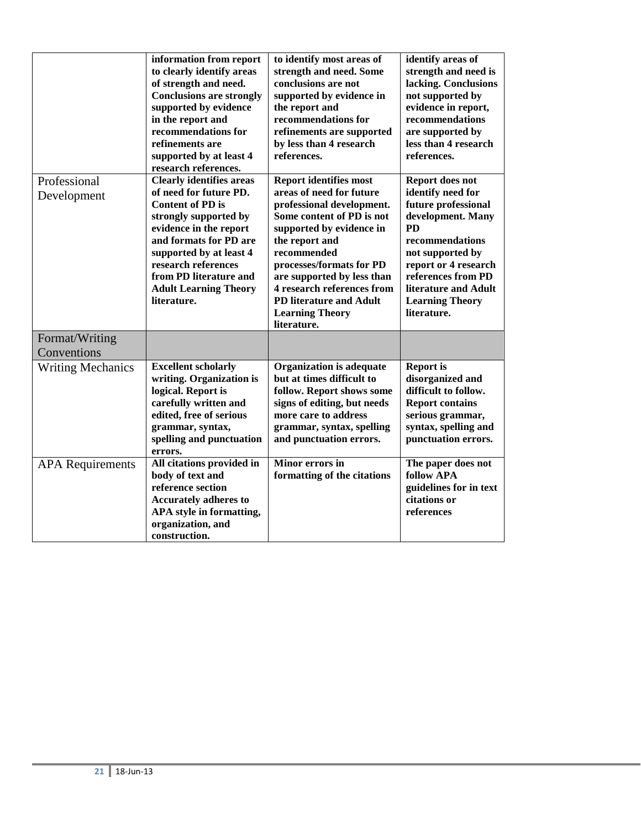|                               | information from report<br>to clearly identify areas<br>of strength and need.<br><b>Conclusions are strongly</b><br>supported by evidence<br>in the report and<br>recommendations for<br>refinements are<br>supported by at least 4<br>research references.                                  | to identify most areas of<br>strength and need. Some<br>conclusions are not<br>supported by evidence in<br>the report and<br>recommendations for<br>refinements are supported<br>by less than 4 research<br>references.                                                                                                                             | identify areas of<br>strength and need is<br>lacking. Conclusions<br>not supported by<br>evidence in report,<br>recommendations<br>are supported by<br>less than 4 research<br>references.                                                          |
|-------------------------------|----------------------------------------------------------------------------------------------------------------------------------------------------------------------------------------------------------------------------------------------------------------------------------------------|-----------------------------------------------------------------------------------------------------------------------------------------------------------------------------------------------------------------------------------------------------------------------------------------------------------------------------------------------------|-----------------------------------------------------------------------------------------------------------------------------------------------------------------------------------------------------------------------------------------------------|
| Professional<br>Development   | <b>Clearly identifies areas</b><br>of need for future PD.<br><b>Content of PD is</b><br>strongly supported by<br>evidence in the report<br>and formats for PD are<br>supported by at least 4<br>research references<br>from PD literature and<br><b>Adult Learning Theory</b><br>literature. | <b>Report identifies most</b><br>areas of need for future<br>professional development.<br>Some content of PD is not<br>supported by evidence in<br>the report and<br>recommended<br>processes/formats for PD<br>are supported by less than<br>4 research references from<br><b>PD literature and Adult</b><br><b>Learning Theory</b><br>literature. | Report does not<br>identify need for<br>future professional<br>development. Many<br><b>PD</b><br>recommendations<br>not supported by<br>report or 4 research<br>references from PD<br>literature and Adult<br><b>Learning Theory</b><br>literature. |
| Format/Writing<br>Conventions |                                                                                                                                                                                                                                                                                              |                                                                                                                                                                                                                                                                                                                                                     |                                                                                                                                                                                                                                                     |
| <b>Writing Mechanics</b>      | <b>Excellent scholarly</b><br>writing. Organization is<br>logical. Report is<br>carefully written and<br>edited, free of serious<br>grammar, syntax,<br>spelling and punctuation<br>errors.                                                                                                  | <b>Organization is adequate</b><br>but at times difficult to<br>follow. Report shows some<br>signs of editing, but needs<br>more care to address<br>grammar, syntax, spelling<br>and punctuation errors.                                                                                                                                            | <b>Report is</b><br>disorganized and<br>difficult to follow.<br><b>Report contains</b><br>serious grammar,<br>syntax, spelling and<br>punctuation errors.                                                                                           |
| <b>APA</b> Requirements       | All citations provided in<br>body of text and<br>reference section<br><b>Accurately adheres to</b><br>APA style in formatting,<br>organization, and<br>construction.                                                                                                                         | <b>Minor errors in</b><br>formatting of the citations                                                                                                                                                                                                                                                                                               | The paper does not<br>follow APA<br>guidelines for in text<br>citations or<br>references                                                                                                                                                            |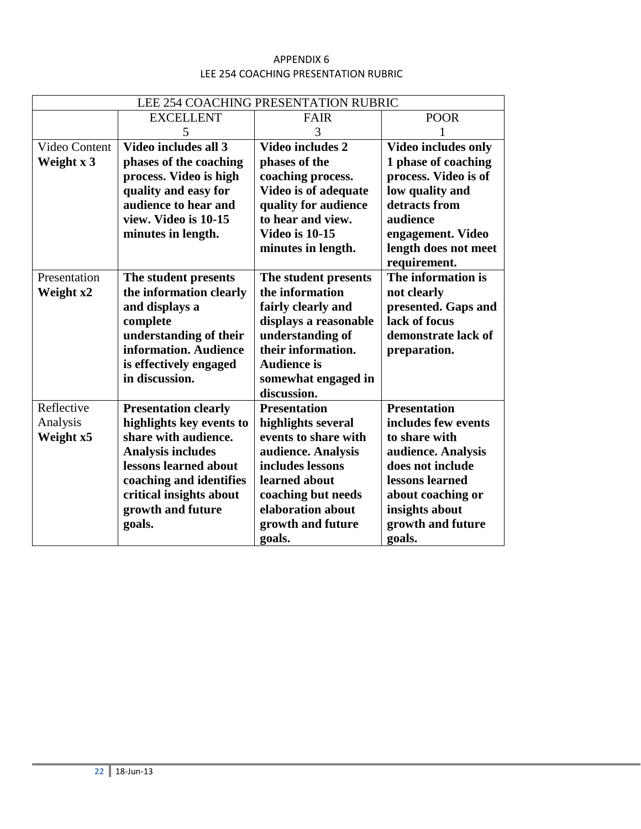## APPENDIX 6 LEE 254 COACHING PRESENTATION RUBRIC

|               | LEE 254 COACHING PRESENTATION RUBRIC |                       |                                      |  |  |  |
|---------------|--------------------------------------|-----------------------|--------------------------------------|--|--|--|
|               | <b>EXCELLENT</b>                     | <b>FAIR</b>           | <b>POOR</b>                          |  |  |  |
|               | 5                                    | 3                     |                                      |  |  |  |
| Video Content | Video includes all 3                 | Video includes 2      | <b>Video includes only</b>           |  |  |  |
| Weight x 3    | phases of the coaching               | phases of the         | 1 phase of coaching                  |  |  |  |
|               | process. Video is high               | coaching process.     | process. Video is of                 |  |  |  |
|               | quality and easy for                 | Video is of adequate  | low quality and                      |  |  |  |
|               | audience to hear and                 | quality for audience  | detracts from                        |  |  |  |
|               | view. Video is 10-15                 | to hear and view.     | audience                             |  |  |  |
|               | minutes in length.                   | <b>Video is 10-15</b> | engagement. Video                    |  |  |  |
|               |                                      | minutes in length.    | length does not meet<br>requirement. |  |  |  |
| Presentation  | The student presents                 | The student presents  | The information is                   |  |  |  |
| Weight x2     | the information clearly              | the information       | not clearly                          |  |  |  |
|               | and displays a                       | fairly clearly and    | presented. Gaps and                  |  |  |  |
|               | complete                             | displays a reasonable | lack of focus                        |  |  |  |
|               | understanding of their               | understanding of      | demonstrate lack of                  |  |  |  |
|               | information. Audience                | their information.    | preparation.                         |  |  |  |
|               | is effectively engaged               | <b>Audience is</b>    |                                      |  |  |  |
|               | in discussion.                       | somewhat engaged in   |                                      |  |  |  |
|               |                                      | discussion.           |                                      |  |  |  |
| Reflective    | <b>Presentation clearly</b>          | <b>Presentation</b>   | <b>Presentation</b>                  |  |  |  |
| Analysis      | highlights key events to             | highlights several    | includes few events                  |  |  |  |
| Weight x5     | share with audience.                 | events to share with  | to share with                        |  |  |  |
|               | <b>Analysis includes</b>             | audience. Analysis    | audience. Analysis                   |  |  |  |
|               | lessons learned about                | includes lessons      | does not include                     |  |  |  |
|               | coaching and identifies              | learned about         | lessons learned                      |  |  |  |
|               | critical insights about              | coaching but needs    | about coaching or                    |  |  |  |
|               | growth and future                    | elaboration about     | insights about                       |  |  |  |
|               | goals.                               | growth and future     | growth and future                    |  |  |  |
|               |                                      | goals.                | goals.                               |  |  |  |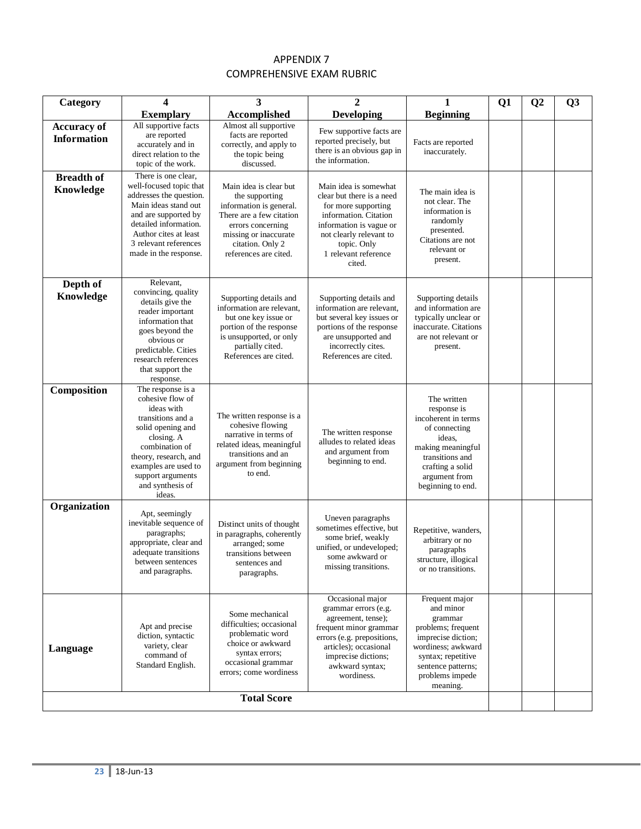## APPENDIX 7 COMPREHENSIVE EXAM RUBRIC

| Category                                 | 4                                                                                                                                                                                                                                 | 3                                                                                                                                                                                          | $\mathbf{2}$                                                                                                                                                                                              | 1                                                                                                                                                                                   | Q1 | Q <sub>2</sub> | Q <sub>3</sub> |
|------------------------------------------|-----------------------------------------------------------------------------------------------------------------------------------------------------------------------------------------------------------------------------------|--------------------------------------------------------------------------------------------------------------------------------------------------------------------------------------------|-----------------------------------------------------------------------------------------------------------------------------------------------------------------------------------------------------------|-------------------------------------------------------------------------------------------------------------------------------------------------------------------------------------|----|----------------|----------------|
|                                          | <b>Exemplary</b>                                                                                                                                                                                                                  | Accomplished                                                                                                                                                                               | <b>Developing</b>                                                                                                                                                                                         | <b>Beginning</b>                                                                                                                                                                    |    |                |                |
| <b>Accuracy of</b><br><b>Information</b> | All supportive facts<br>are reported<br>accurately and in<br>direct relation to the<br>topic of the work.                                                                                                                         | Almost all supportive<br>facts are reported<br>correctly, and apply to<br>the topic being<br>discussed.                                                                                    | Few supportive facts are<br>reported precisely, but<br>there is an obvious gap in<br>the information.                                                                                                     | Facts are reported<br>inaccurately.                                                                                                                                                 |    |                |                |
| <b>Breadth of</b><br>Knowledge           | There is one clear,<br>well-focused topic that<br>addresses the question.<br>Main ideas stand out<br>and are supported by<br>detailed information.<br>Author cites at least<br>3 relevant references<br>made in the response.     | Main idea is clear but<br>the supporting<br>information is general.<br>There are a few citation<br>errors concerning<br>missing or inaccurate<br>citation. Only 2<br>references are cited. | Main idea is somewhat<br>clear but there is a need<br>for more supporting<br>information. Citation<br>information is vague or<br>not clearly relevant to<br>topic. Only<br>1 relevant reference<br>cited. | The main idea is<br>not clear. The<br>information is<br>randomly<br>presented.<br>Citations are not<br>relevant or<br>present.                                                      |    |                |                |
| Depth of<br>Knowledge                    | Relevant,<br>convincing, quality<br>details give the<br>reader important<br>information that<br>goes beyond the<br>obvious or<br>predictable. Cities<br>research references<br>that support the<br>response.                      | Supporting details and<br>information are relevant,<br>but one key issue or<br>portion of the response<br>is unsupported, or only<br>partially cited.<br>References are cited.             | Supporting details and<br>information are relevant.<br>but several key issues or<br>portions of the response<br>are unsupported and<br>incorrectly cites.<br>References are cited.                        | Supporting details<br>and information are<br>typically unclear or<br>inaccurate. Citations<br>are not relevant or<br>present.                                                       |    |                |                |
| Composition                              | The response is a<br>cohesive flow of<br>ideas with<br>transitions and a<br>solid opening and<br>closing. A<br>combination of<br>theory, research, and<br>examples are used to<br>support arguments<br>and synthesis of<br>ideas. | The written response is a<br>cohesive flowing<br>narrative in terms of<br>related ideas, meaningful<br>transitions and an<br>argument from beginning<br>to end.                            | The written response<br>alludes to related ideas<br>and argument from<br>beginning to end.                                                                                                                | The written<br>response is<br>incoherent in terms<br>of connecting<br>ideas,<br>making meaningful<br>transitions and<br>crafting a solid<br>argument from<br>beginning to end.      |    |                |                |
| Organization                             | Apt, seemingly<br>inevitable sequence of<br>paragraphs;<br>appropriate, clear and<br>adequate transitions<br>between sentences<br>and paragraphs.                                                                                 | Distinct units of thought<br>in paragraphs, coherently<br>arranged; some<br>transitions between<br>sentences and<br>paragraphs.                                                            | Uneven paragraphs<br>sometimes effective, but<br>some brief, weakly<br>unified, or undeveloped;<br>some awkward or<br>missing transitions.                                                                | Repetitive, wanders,<br>arbitrary or no<br>paragraphs<br>structure, illogical<br>or no transitions.                                                                                 |    |                |                |
| Language                                 | Apt and precise<br>diction, syntactic<br>variety, clear<br>command of<br>Standard English.                                                                                                                                        | Some mechanical<br>difficulties; occasional<br>problematic word<br>choice or awkward<br>syntax errors;<br>occasional grammar<br>errors; come wordiness                                     | Occasional major<br>grammar errors (e.g.<br>agreement, tense);<br>frequent minor grammar<br>errors (e.g. prepositions,<br>articles); occasional<br>imprecise dictions;<br>awkward syntax;<br>wordiness.   | Frequent major<br>and minor<br>grammar<br>problems; frequent<br>imprecise diction;<br>wordiness; awkward<br>syntax; repetitive<br>sentence patterns;<br>problems impede<br>meaning. |    |                |                |
|                                          |                                                                                                                                                                                                                                   | <b>Total Score</b>                                                                                                                                                                         |                                                                                                                                                                                                           |                                                                                                                                                                                     |    |                |                |